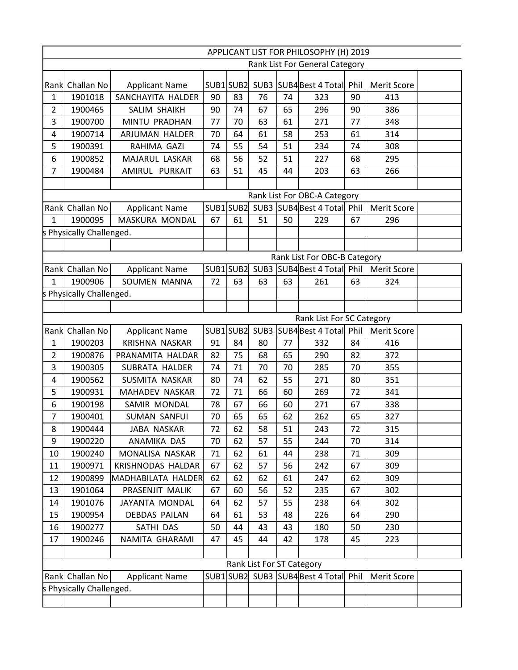|                | APPLICANT LIST FOR PHILOSOPHY (H) 2019 |                           |    |           |                           |    |                                       |    |                    |  |
|----------------|----------------------------------------|---------------------------|----|-----------|---------------------------|----|---------------------------------------|----|--------------------|--|
|                |                                        |                           |    |           |                           |    | Rank List For General Category        |    |                    |  |
|                | Rank Challan No                        | <b>Applicant Name</b>     |    |           |                           |    | SUB1 SUB2 SUB3 SUB4 Best 4 Total Phil |    | <b>Merit Score</b> |  |
| $\mathbf{1}$   | 1901018                                | SANCHAYITA HALDER         | 90 | 83        | 76                        | 74 | 323                                   | 90 | 413                |  |
| $\overline{2}$ | 1900465                                | SALIM SHAIKH              | 90 | 74        | 67                        | 65 | 296                                   | 90 | 386                |  |
| 3              | 1900700                                | MINTU PRADHAN             | 77 | 70        | 63                        | 61 | 271                                   | 77 | 348                |  |
| 4              | 1900714                                | ARJUMAN HALDER            | 70 | 64        | 61                        | 58 | 253                                   | 61 | 314                |  |
| 5              | 1900391                                | RAHIMA GAZI               | 74 | 55        | 54                        | 51 | 234                                   | 74 | 308                |  |
| 6              | 1900852                                | MAJARUL LASKAR            | 68 | 56        | 52                        | 51 | 227                                   | 68 | 295                |  |
| 7              | 1900484                                | AMIRUL PURKAIT            | 63 | 51        | 45                        | 44 | 203                                   | 63 | 266                |  |
|                |                                        |                           |    |           |                           |    |                                       |    |                    |  |
|                |                                        |                           |    |           |                           |    | Rank List For OBC-A Category          |    |                    |  |
|                | Rank Challan No                        | <b>Applicant Name</b>     |    | SUB1 SUB2 |                           |    | SUB3 SUB4 Best 4 Total Phil           |    | Merit Score        |  |
| $\mathbf{1}$   | 1900095                                | MASKURA MONDAL            | 67 | 61        | 51                        | 50 | 229                                   | 67 | 296                |  |
|                | Physically Challenged.                 |                           |    |           |                           |    |                                       |    |                    |  |
|                |                                        |                           |    |           |                           |    |                                       |    |                    |  |
|                |                                        |                           |    |           |                           |    | Rank List For OBC-B Category          |    |                    |  |
|                | Rank Challan No                        | <b>Applicant Name</b>     |    | SUB1SUB2  |                           |    | SUB3 SUB4 Best 4 Total Phil           |    | <b>Merit Score</b> |  |
| $\mathbf{1}$   | 1900906                                | SOUMEN MANNA              | 72 | 63        | 63                        | 63 | 261                                   | 63 | 324                |  |
|                | Physically Challenged.                 |                           |    |           |                           |    |                                       |    |                    |  |
|                |                                        |                           |    |           |                           |    |                                       |    |                    |  |
|                |                                        |                           |    |           |                           |    | Rank List For SC Category             |    |                    |  |
|                | Rank Challan No                        | <b>Applicant Name</b>     |    |           |                           |    | SUB1 SUB2 SUB3 SUB4 Best 4 Total Phil |    |                    |  |
| $\mathbf{1}$   | 1900203                                | KRISHNA NASKAR            | 91 | 84        | 80                        | 77 | 332                                   | 84 | 416                |  |
| $\overline{2}$ | 1900876                                | PRANAMITA HALDAR          | 82 | 75        | 68                        | 65 | 290                                   | 82 | 372                |  |
| 3              | 1900305                                | SUBRATA HALDER            | 74 | 71        | 70                        | 70 | 285                                   | 70 | 355                |  |
| 4              | 1900562                                | SUSMITA NASKAR            | 80 | 74        | 62                        | 55 | 271                                   | 80 | 351                |  |
| 5              | 1900931                                | MAHADEV NASKAR            | 72 | 71        | 66                        | 60 | 269                                   | 72 | 341                |  |
| 6              | 1900198                                | SAMIR MONDAL              | 78 | 67        | 66                        | 60 | 271                                   | 67 | 338                |  |
| 7              | 1900401                                | <b>SUMAN SANFUI</b>       | 70 | 65        | 65                        | 62 | 262                                   | 65 | 327                |  |
| 8              | 1900444                                | JABA NASKAR               | 72 | 62        | 58                        | 51 | 243                                   | 72 | 315                |  |
| 9              | 1900220                                | ANAMIKA DAS               | 70 | 62        | 57                        | 55 | 244                                   | 70 | 314                |  |
| 10             | 1900240                                | MONALISA NASKAR           | 71 | 62        | 61                        | 44 | 238                                   | 71 | 309                |  |
| 11             | 1900971                                | KRISHNODAS HALDAR         | 67 | 62        | 57                        | 56 | 242                                   | 67 | 309                |  |
| 12             | 1900899                                | <b>MADHABILATA HALDER</b> | 62 | 62        | 62                        | 61 | 247                                   | 62 | 309                |  |
| 13             | 1901064                                | PRASENJIT MALIK           | 67 | 60        | 56                        | 52 | 235                                   | 67 | 302                |  |
| 14             | 1901076                                | JAYANTA MONDAL            | 64 | 62        | 57                        | 55 | 238                                   | 64 | 302                |  |
| 15             | 1900954                                | <b>DEBDAS PAILAN</b>      | 64 | 61        | 53                        | 48 | 226                                   | 64 | 290                |  |
| 16             | 1900277                                | SATHI DAS                 | 50 | 44        | 43                        | 43 | 180                                   | 50 | 230                |  |
| 17             | 1900246                                | NAMITA GHARAMI            | 47 | 45        | 44                        | 42 | 178                                   | 45 | 223                |  |
|                |                                        |                           |    |           |                           |    |                                       |    |                    |  |
|                |                                        |                           |    |           | Rank List For ST Category |    |                                       |    |                    |  |
|                | Rank Challan No                        | <b>Applicant Name</b>     |    |           |                           |    | SUB1 SUB2 SUB3 SUB4 Best 4 Total Phil |    | Merit Score        |  |
|                | Physically Challenged.                 |                           |    |           |                           |    |                                       |    |                    |  |
|                |                                        |                           |    |           |                           |    |                                       |    |                    |  |
|                |                                        |                           |    |           |                           |    |                                       |    |                    |  |